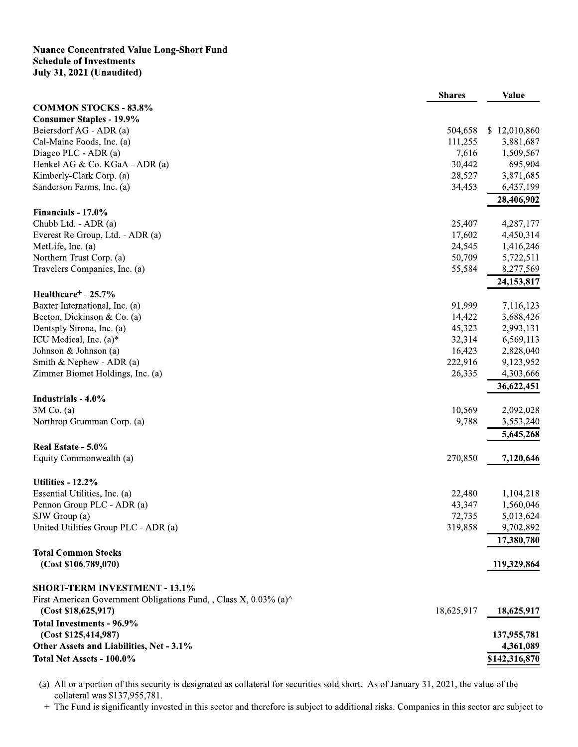## **Nuance Concentrated Value Long-Short Fund Schedule of Investments July 31, 2021 (Unaudited)**

|                                                                                                   | <b>Shares</b> | Value                    |
|---------------------------------------------------------------------------------------------------|---------------|--------------------------|
| <b>COMMON STOCKS - 83.8%</b>                                                                      |               |                          |
| <b>Consumer Staples - 19.9%</b>                                                                   |               |                          |
| Beiersdorf AG - ADR (a)                                                                           | 504,658       | \$12,010,860             |
| Cal-Maine Foods, Inc. (a)                                                                         | 111,255       | 3,881,687                |
| Diageo PLC - ADR (a)                                                                              | 7,616         | 1,509,567                |
| Henkel AG & Co. KGaA - ADR (a)                                                                    | 30,442        | 695,904                  |
| Kimberly-Clark Corp. (a)                                                                          | 28,527        | 3,871,685                |
| Sanderson Farms, Inc. (a)                                                                         | 34,453        | 6,437,199                |
|                                                                                                   |               | 28,406,902               |
| Financials - 17.0%                                                                                |               |                          |
| Chubb Ltd. - ADR (a)                                                                              | 25,407        | 4,287,177                |
| Everest Re Group, Ltd. - ADR (a)                                                                  | 17,602        | 4,450,314                |
| MetLife, Inc. (a)                                                                                 | 24,545        | 1,416,246                |
| Northern Trust Corp. (a)                                                                          | 50,709        | 5,722,511                |
| Travelers Companies, Inc. (a)                                                                     | 55,584        | 8,277,569                |
|                                                                                                   |               | 24, 153, 817             |
| Healthcare <sup>+</sup> - 25.7%                                                                   |               |                          |
| Baxter International, Inc. (a)                                                                    | 91,999        | 7,116,123                |
| Becton, Dickinson & Co. (a)                                                                       | 14,422        | 3,688,426                |
| Dentsply Sirona, Inc. (a)                                                                         | 45,323        | 2,993,131                |
| ICU Medical, Inc. $(a)$ <sup>*</sup>                                                              | 32,314        | 6,569,113                |
| Johnson & Johnson (a)                                                                             | 16,423        | 2,828,040                |
| Smith & Nephew - ADR $(a)$                                                                        | 222,916       | 9,123,952                |
| Zimmer Biomet Holdings, Inc. (a)                                                                  | 26,335        | 4,303,666                |
|                                                                                                   |               | 36,622,451               |
| Industrials - 4.0%                                                                                |               |                          |
| $3M$ Co. (a)                                                                                      | 10,569        | 2,092,028                |
| Northrop Grumman Corp. (a)                                                                        | 9,788         | 3,553,240                |
|                                                                                                   |               | 5,645,268                |
| Real Estate - 5.0%                                                                                |               |                          |
| Equity Commonwealth (a)                                                                           | 270,850       | 7,120,646                |
|                                                                                                   |               |                          |
| Utilities - 12.2%                                                                                 |               |                          |
| Essential Utilities, Inc. (a)                                                                     | 22,480        | 1,104,218                |
| Pennon Group PLC - ADR (a)                                                                        | 43,347        | 1,560,046                |
| SJW Group (a)                                                                                     | 72,735        | 5,013,624                |
| United Utilities Group PLC - ADR (a)                                                              | 319,858       | 9,702,892                |
|                                                                                                   |               | 17,380,780               |
| <b>Total Common Stocks</b>                                                                        |               |                          |
| (Cost \$106,789,070)                                                                              |               | 119,329,864              |
|                                                                                                   |               |                          |
| <b>SHORT-TERM INVESTMENT - 13.1%</b>                                                              |               |                          |
| First American Government Obligations Fund, , Class X, $0.03\%$ (a) <sup><math>\land</math></sup> |               |                          |
| (Cost \$18,625,917)                                                                               | 18,625,917    | 18,625,917               |
|                                                                                                   |               |                          |
| Total Investments - 96.9%                                                                         |               |                          |
| (Cost \$125,414,987)<br>Other Assets and Liabilities, Net - 3.1%                                  |               | 137,955,781<br>4,361,089 |
|                                                                                                   |               |                          |
| Total Net Assets - 100.0%                                                                         |               | \$142,316,870            |

(a) All or a portion of this security is designated as collateral for securities sold short. As of January 31, 2021, the value of the collateral was \$137,955,781.

+ The Fund is significantly invested in this sector and therefore is subject to additional risks. Companies in this sector are subject to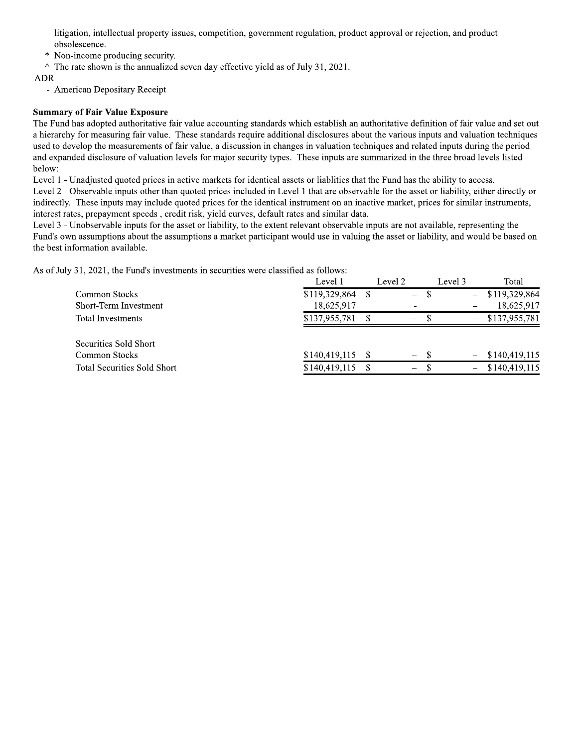litigation, intellectual property issues, competition, government regulation, product approval or rejection, and product obsolescence.

Non-income producing security.

 $\land$  The rate shown is the annualized seven day effective yield as of July 31, 2021.

**ADR** 

- American Depositary Receipt

## **Summary of Fair Value Exposure**

The Fund has adopted authoritative fair value accounting standards which establish an authoritative definition of fair value and set out a hierarchy for measuring fair value. These standards require additional disclosures about the various inputs and valuation techniques used to develop the measurements of fair value, a discussion in changes in valuation techniques and related inputs during the period and expanded disclosure of valuation levels for major security types. These inputs are summarized in the three broad levels listed below:

Level 1 - Unadjusted quoted prices in active markets for identical assets or liablities that the Fund has the ability to access.

Level 2 - Observable inputs other than quoted prices included in Level 1 that are observable for the asset or liability, either directly or indirectly. These inputs may include quoted prices for the identical instrument on an inactive market, prices for similar instruments, interest rates, prepayment speeds, credit risk, yield curves, default rates and similar data.

Level 3 - Unobservable inputs for the asset or liability, to the extent relevant observable inputs are not available, representing the Fund's own assumptions about the assumptions a market participant would use in valuing the asset or liability, and would be based on the best information available.

As of July 31, 2021, the Fund's investments in securities were classified as follows:

|                                    | Level I       | Level 2 |                                 | Level 3                  | Total         |
|------------------------------------|---------------|---------|---------------------------------|--------------------------|---------------|
| <b>Common Stocks</b>               | \$119,329,864 |         | $\hspace{0.1mm}-\hspace{0.1mm}$ | $\overline{\phantom{0}}$ | \$119,329,864 |
| Short-Term Investment              | 18,625,917    |         |                                 |                          | 18,625,917    |
| <b>Total Investments</b>           | \$137,955,781 |         | $-$                             | $\overline{\phantom{0}}$ | \$137,955,781 |
| Securities Sold Short              |               |         |                                 |                          |               |
| <b>Common Stocks</b>               | \$140,419,115 |         | $- S$                           | $\overline{\phantom{0}}$ | \$140,419,115 |
| <b>Total Securities Sold Short</b> | \$140,419,115 |         | $\overline{\phantom{m}}$        | $\overline{\phantom{0}}$ | \$140,419,115 |
|                                    |               |         |                                 |                          |               |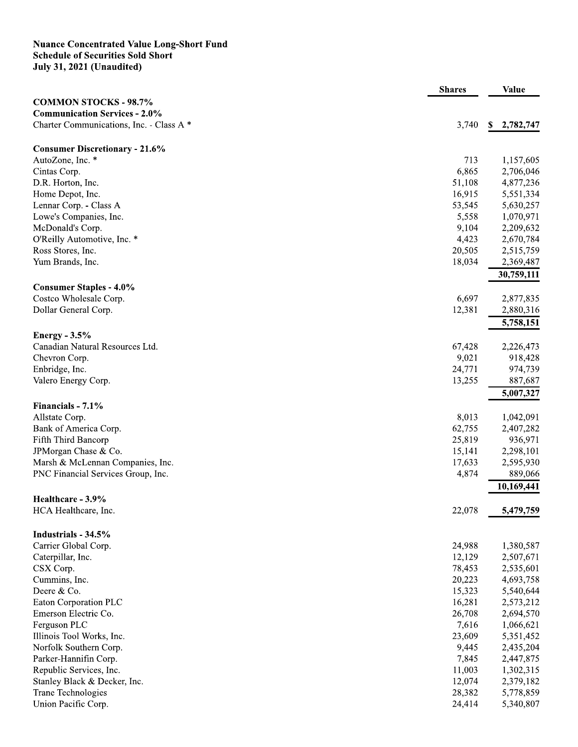## **Nuance Concentrated Value Long-Short Fund<br>Schedule of Securities Sold Short<br>July 31, 2021 (Unaudited)**

| <b>COMMON STOCKS - 98.7%</b><br><b>Communication Services - 2.0%</b><br>Charter Communications, Inc. - Class A *<br>3,740<br>\$2,782,747<br><b>Consumer Discretionary - 21.6%</b><br>AutoZone, Inc. *<br>713<br>1,157,605<br>Cintas Corp.<br>6,865<br>2,706,046<br>51,108<br>4,877,236<br>D.R. Horton, Inc.<br>16,915<br>5,551,334<br>Home Depot, Inc.<br>Lennar Corp. - Class A<br>53,545<br>5,630,257<br>Lowe's Companies, Inc.<br>5,558<br>1,070,971<br>McDonald's Corp.<br>9,104<br>2,209,632<br>O'Reilly Automotive, Inc. *<br>4,423<br>2,670,784<br>Ross Stores, Inc.<br>20,505<br>2,515,759<br>Yum Brands, Inc.<br>18,034<br>2,369,487<br>30,759,111<br><b>Consumer Staples - 4.0%</b><br>6,697<br>Costco Wholesale Corp.<br>2,877,835<br>Dollar General Corp.<br>12,381<br>2,880,316<br>5,758,151<br>Energy $-3.5%$<br>Canadian Natural Resources Ltd.<br>67,428<br>2,226,473<br>9,021<br>918,428<br>Chevron Corp.<br>Enbridge, Inc.<br>24,771<br>974,739<br>13,255<br>887,687<br>Valero Energy Corp.<br>5,007,327<br>Financials - 7.1%<br>8,013<br>Allstate Corp.<br>1,042,091<br>Bank of America Corp.<br>62,755<br>2,407,282<br>25,819<br>Fifth Third Bancorp<br>936,971<br>2,298,101<br>JPMorgan Chase & Co.<br>15,141<br>Marsh & McLennan Companies, Inc.<br>17,633<br>2,595,930<br>4,874<br>889,066<br>PNC Financial Services Group, Inc.<br>10,169,441<br>Healthcare - 3.9%<br>HCA Healthcare, Inc.<br>22,078<br>5,479,759<br>Industrials - 34.5%<br>Carrier Global Corp.<br>24,988<br>1,380,587<br>12,129<br>2,507,671<br>Caterpillar, Inc.<br>78,453<br>2,535,601<br>CSX Corp.<br>20,223<br>4,693,758<br>Cummins, Inc.<br>15,323<br>Deere & Co.<br>5,540,644<br>16,281<br>Eaton Corporation PLC<br>2,573,212<br>Emerson Electric Co.<br>26,708<br>2,694,570<br>7,616<br>Ferguson PLC<br>1,066,621<br>23,609<br>Illinois Tool Works, Inc.<br>5,351,452<br>9,445<br>2,435,204<br>Norfolk Southern Corp.<br>Parker-Hannifin Corp.<br>7,845<br>2,447,875<br>11,003<br>Republic Services, Inc.<br>1,302,315<br>12,074<br>2,379,182<br>Stanley Black & Decker, Inc.<br>28,382<br>5,778,859<br>Trane Technologies<br>Union Pacific Corp.<br>24,414<br>5,340,807 | <b>Shares</b> | <b>Value</b> |
|---------------------------------------------------------------------------------------------------------------------------------------------------------------------------------------------------------------------------------------------------------------------------------------------------------------------------------------------------------------------------------------------------------------------------------------------------------------------------------------------------------------------------------------------------------------------------------------------------------------------------------------------------------------------------------------------------------------------------------------------------------------------------------------------------------------------------------------------------------------------------------------------------------------------------------------------------------------------------------------------------------------------------------------------------------------------------------------------------------------------------------------------------------------------------------------------------------------------------------------------------------------------------------------------------------------------------------------------------------------------------------------------------------------------------------------------------------------------------------------------------------------------------------------------------------------------------------------------------------------------------------------------------------------------------------------------------------------------------------------------------------------------------------------------------------------------------------------------------------------------------------------------------------------------------------------------------------------------------------------------------------------------------------------------------------------------------------------------------------------------------------------------------------------------------|---------------|--------------|
|                                                                                                                                                                                                                                                                                                                                                                                                                                                                                                                                                                                                                                                                                                                                                                                                                                                                                                                                                                                                                                                                                                                                                                                                                                                                                                                                                                                                                                                                                                                                                                                                                                                                                                                                                                                                                                                                                                                                                                                                                                                                                                                                                                           |               |              |
|                                                                                                                                                                                                                                                                                                                                                                                                                                                                                                                                                                                                                                                                                                                                                                                                                                                                                                                                                                                                                                                                                                                                                                                                                                                                                                                                                                                                                                                                                                                                                                                                                                                                                                                                                                                                                                                                                                                                                                                                                                                                                                                                                                           |               |              |
|                                                                                                                                                                                                                                                                                                                                                                                                                                                                                                                                                                                                                                                                                                                                                                                                                                                                                                                                                                                                                                                                                                                                                                                                                                                                                                                                                                                                                                                                                                                                                                                                                                                                                                                                                                                                                                                                                                                                                                                                                                                                                                                                                                           |               |              |
|                                                                                                                                                                                                                                                                                                                                                                                                                                                                                                                                                                                                                                                                                                                                                                                                                                                                                                                                                                                                                                                                                                                                                                                                                                                                                                                                                                                                                                                                                                                                                                                                                                                                                                                                                                                                                                                                                                                                                                                                                                                                                                                                                                           |               |              |
|                                                                                                                                                                                                                                                                                                                                                                                                                                                                                                                                                                                                                                                                                                                                                                                                                                                                                                                                                                                                                                                                                                                                                                                                                                                                                                                                                                                                                                                                                                                                                                                                                                                                                                                                                                                                                                                                                                                                                                                                                                                                                                                                                                           |               |              |
|                                                                                                                                                                                                                                                                                                                                                                                                                                                                                                                                                                                                                                                                                                                                                                                                                                                                                                                                                                                                                                                                                                                                                                                                                                                                                                                                                                                                                                                                                                                                                                                                                                                                                                                                                                                                                                                                                                                                                                                                                                                                                                                                                                           |               |              |
|                                                                                                                                                                                                                                                                                                                                                                                                                                                                                                                                                                                                                                                                                                                                                                                                                                                                                                                                                                                                                                                                                                                                                                                                                                                                                                                                                                                                                                                                                                                                                                                                                                                                                                                                                                                                                                                                                                                                                                                                                                                                                                                                                                           |               |              |
|                                                                                                                                                                                                                                                                                                                                                                                                                                                                                                                                                                                                                                                                                                                                                                                                                                                                                                                                                                                                                                                                                                                                                                                                                                                                                                                                                                                                                                                                                                                                                                                                                                                                                                                                                                                                                                                                                                                                                                                                                                                                                                                                                                           |               |              |
|                                                                                                                                                                                                                                                                                                                                                                                                                                                                                                                                                                                                                                                                                                                                                                                                                                                                                                                                                                                                                                                                                                                                                                                                                                                                                                                                                                                                                                                                                                                                                                                                                                                                                                                                                                                                                                                                                                                                                                                                                                                                                                                                                                           |               |              |
|                                                                                                                                                                                                                                                                                                                                                                                                                                                                                                                                                                                                                                                                                                                                                                                                                                                                                                                                                                                                                                                                                                                                                                                                                                                                                                                                                                                                                                                                                                                                                                                                                                                                                                                                                                                                                                                                                                                                                                                                                                                                                                                                                                           |               |              |
|                                                                                                                                                                                                                                                                                                                                                                                                                                                                                                                                                                                                                                                                                                                                                                                                                                                                                                                                                                                                                                                                                                                                                                                                                                                                                                                                                                                                                                                                                                                                                                                                                                                                                                                                                                                                                                                                                                                                                                                                                                                                                                                                                                           |               |              |
|                                                                                                                                                                                                                                                                                                                                                                                                                                                                                                                                                                                                                                                                                                                                                                                                                                                                                                                                                                                                                                                                                                                                                                                                                                                                                                                                                                                                                                                                                                                                                                                                                                                                                                                                                                                                                                                                                                                                                                                                                                                                                                                                                                           |               |              |
|                                                                                                                                                                                                                                                                                                                                                                                                                                                                                                                                                                                                                                                                                                                                                                                                                                                                                                                                                                                                                                                                                                                                                                                                                                                                                                                                                                                                                                                                                                                                                                                                                                                                                                                                                                                                                                                                                                                                                                                                                                                                                                                                                                           |               |              |
|                                                                                                                                                                                                                                                                                                                                                                                                                                                                                                                                                                                                                                                                                                                                                                                                                                                                                                                                                                                                                                                                                                                                                                                                                                                                                                                                                                                                                                                                                                                                                                                                                                                                                                                                                                                                                                                                                                                                                                                                                                                                                                                                                                           |               |              |
|                                                                                                                                                                                                                                                                                                                                                                                                                                                                                                                                                                                                                                                                                                                                                                                                                                                                                                                                                                                                                                                                                                                                                                                                                                                                                                                                                                                                                                                                                                                                                                                                                                                                                                                                                                                                                                                                                                                                                                                                                                                                                                                                                                           |               |              |
|                                                                                                                                                                                                                                                                                                                                                                                                                                                                                                                                                                                                                                                                                                                                                                                                                                                                                                                                                                                                                                                                                                                                                                                                                                                                                                                                                                                                                                                                                                                                                                                                                                                                                                                                                                                                                                                                                                                                                                                                                                                                                                                                                                           |               |              |
|                                                                                                                                                                                                                                                                                                                                                                                                                                                                                                                                                                                                                                                                                                                                                                                                                                                                                                                                                                                                                                                                                                                                                                                                                                                                                                                                                                                                                                                                                                                                                                                                                                                                                                                                                                                                                                                                                                                                                                                                                                                                                                                                                                           |               |              |
|                                                                                                                                                                                                                                                                                                                                                                                                                                                                                                                                                                                                                                                                                                                                                                                                                                                                                                                                                                                                                                                                                                                                                                                                                                                                                                                                                                                                                                                                                                                                                                                                                                                                                                                                                                                                                                                                                                                                                                                                                                                                                                                                                                           |               |              |
|                                                                                                                                                                                                                                                                                                                                                                                                                                                                                                                                                                                                                                                                                                                                                                                                                                                                                                                                                                                                                                                                                                                                                                                                                                                                                                                                                                                                                                                                                                                                                                                                                                                                                                                                                                                                                                                                                                                                                                                                                                                                                                                                                                           |               |              |
|                                                                                                                                                                                                                                                                                                                                                                                                                                                                                                                                                                                                                                                                                                                                                                                                                                                                                                                                                                                                                                                                                                                                                                                                                                                                                                                                                                                                                                                                                                                                                                                                                                                                                                                                                                                                                                                                                                                                                                                                                                                                                                                                                                           |               |              |
|                                                                                                                                                                                                                                                                                                                                                                                                                                                                                                                                                                                                                                                                                                                                                                                                                                                                                                                                                                                                                                                                                                                                                                                                                                                                                                                                                                                                                                                                                                                                                                                                                                                                                                                                                                                                                                                                                                                                                                                                                                                                                                                                                                           |               |              |
|                                                                                                                                                                                                                                                                                                                                                                                                                                                                                                                                                                                                                                                                                                                                                                                                                                                                                                                                                                                                                                                                                                                                                                                                                                                                                                                                                                                                                                                                                                                                                                                                                                                                                                                                                                                                                                                                                                                                                                                                                                                                                                                                                                           |               |              |
|                                                                                                                                                                                                                                                                                                                                                                                                                                                                                                                                                                                                                                                                                                                                                                                                                                                                                                                                                                                                                                                                                                                                                                                                                                                                                                                                                                                                                                                                                                                                                                                                                                                                                                                                                                                                                                                                                                                                                                                                                                                                                                                                                                           |               |              |
|                                                                                                                                                                                                                                                                                                                                                                                                                                                                                                                                                                                                                                                                                                                                                                                                                                                                                                                                                                                                                                                                                                                                                                                                                                                                                                                                                                                                                                                                                                                                                                                                                                                                                                                                                                                                                                                                                                                                                                                                                                                                                                                                                                           |               |              |
|                                                                                                                                                                                                                                                                                                                                                                                                                                                                                                                                                                                                                                                                                                                                                                                                                                                                                                                                                                                                                                                                                                                                                                                                                                                                                                                                                                                                                                                                                                                                                                                                                                                                                                                                                                                                                                                                                                                                                                                                                                                                                                                                                                           |               |              |
|                                                                                                                                                                                                                                                                                                                                                                                                                                                                                                                                                                                                                                                                                                                                                                                                                                                                                                                                                                                                                                                                                                                                                                                                                                                                                                                                                                                                                                                                                                                                                                                                                                                                                                                                                                                                                                                                                                                                                                                                                                                                                                                                                                           |               |              |
|                                                                                                                                                                                                                                                                                                                                                                                                                                                                                                                                                                                                                                                                                                                                                                                                                                                                                                                                                                                                                                                                                                                                                                                                                                                                                                                                                                                                                                                                                                                                                                                                                                                                                                                                                                                                                                                                                                                                                                                                                                                                                                                                                                           |               |              |
|                                                                                                                                                                                                                                                                                                                                                                                                                                                                                                                                                                                                                                                                                                                                                                                                                                                                                                                                                                                                                                                                                                                                                                                                                                                                                                                                                                                                                                                                                                                                                                                                                                                                                                                                                                                                                                                                                                                                                                                                                                                                                                                                                                           |               |              |
|                                                                                                                                                                                                                                                                                                                                                                                                                                                                                                                                                                                                                                                                                                                                                                                                                                                                                                                                                                                                                                                                                                                                                                                                                                                                                                                                                                                                                                                                                                                                                                                                                                                                                                                                                                                                                                                                                                                                                                                                                                                                                                                                                                           |               |              |
|                                                                                                                                                                                                                                                                                                                                                                                                                                                                                                                                                                                                                                                                                                                                                                                                                                                                                                                                                                                                                                                                                                                                                                                                                                                                                                                                                                                                                                                                                                                                                                                                                                                                                                                                                                                                                                                                                                                                                                                                                                                                                                                                                                           |               |              |
|                                                                                                                                                                                                                                                                                                                                                                                                                                                                                                                                                                                                                                                                                                                                                                                                                                                                                                                                                                                                                                                                                                                                                                                                                                                                                                                                                                                                                                                                                                                                                                                                                                                                                                                                                                                                                                                                                                                                                                                                                                                                                                                                                                           |               |              |
|                                                                                                                                                                                                                                                                                                                                                                                                                                                                                                                                                                                                                                                                                                                                                                                                                                                                                                                                                                                                                                                                                                                                                                                                                                                                                                                                                                                                                                                                                                                                                                                                                                                                                                                                                                                                                                                                                                                                                                                                                                                                                                                                                                           |               |              |
|                                                                                                                                                                                                                                                                                                                                                                                                                                                                                                                                                                                                                                                                                                                                                                                                                                                                                                                                                                                                                                                                                                                                                                                                                                                                                                                                                                                                                                                                                                                                                                                                                                                                                                                                                                                                                                                                                                                                                                                                                                                                                                                                                                           |               |              |
|                                                                                                                                                                                                                                                                                                                                                                                                                                                                                                                                                                                                                                                                                                                                                                                                                                                                                                                                                                                                                                                                                                                                                                                                                                                                                                                                                                                                                                                                                                                                                                                                                                                                                                                                                                                                                                                                                                                                                                                                                                                                                                                                                                           |               |              |
|                                                                                                                                                                                                                                                                                                                                                                                                                                                                                                                                                                                                                                                                                                                                                                                                                                                                                                                                                                                                                                                                                                                                                                                                                                                                                                                                                                                                                                                                                                                                                                                                                                                                                                                                                                                                                                                                                                                                                                                                                                                                                                                                                                           |               |              |
|                                                                                                                                                                                                                                                                                                                                                                                                                                                                                                                                                                                                                                                                                                                                                                                                                                                                                                                                                                                                                                                                                                                                                                                                                                                                                                                                                                                                                                                                                                                                                                                                                                                                                                                                                                                                                                                                                                                                                                                                                                                                                                                                                                           |               |              |
|                                                                                                                                                                                                                                                                                                                                                                                                                                                                                                                                                                                                                                                                                                                                                                                                                                                                                                                                                                                                                                                                                                                                                                                                                                                                                                                                                                                                                                                                                                                                                                                                                                                                                                                                                                                                                                                                                                                                                                                                                                                                                                                                                                           |               |              |
|                                                                                                                                                                                                                                                                                                                                                                                                                                                                                                                                                                                                                                                                                                                                                                                                                                                                                                                                                                                                                                                                                                                                                                                                                                                                                                                                                                                                                                                                                                                                                                                                                                                                                                                                                                                                                                                                                                                                                                                                                                                                                                                                                                           |               |              |
|                                                                                                                                                                                                                                                                                                                                                                                                                                                                                                                                                                                                                                                                                                                                                                                                                                                                                                                                                                                                                                                                                                                                                                                                                                                                                                                                                                                                                                                                                                                                                                                                                                                                                                                                                                                                                                                                                                                                                                                                                                                                                                                                                                           |               |              |
|                                                                                                                                                                                                                                                                                                                                                                                                                                                                                                                                                                                                                                                                                                                                                                                                                                                                                                                                                                                                                                                                                                                                                                                                                                                                                                                                                                                                                                                                                                                                                                                                                                                                                                                                                                                                                                                                                                                                                                                                                                                                                                                                                                           |               |              |
|                                                                                                                                                                                                                                                                                                                                                                                                                                                                                                                                                                                                                                                                                                                                                                                                                                                                                                                                                                                                                                                                                                                                                                                                                                                                                                                                                                                                                                                                                                                                                                                                                                                                                                                                                                                                                                                                                                                                                                                                                                                                                                                                                                           |               |              |
|                                                                                                                                                                                                                                                                                                                                                                                                                                                                                                                                                                                                                                                                                                                                                                                                                                                                                                                                                                                                                                                                                                                                                                                                                                                                                                                                                                                                                                                                                                                                                                                                                                                                                                                                                                                                                                                                                                                                                                                                                                                                                                                                                                           |               |              |
|                                                                                                                                                                                                                                                                                                                                                                                                                                                                                                                                                                                                                                                                                                                                                                                                                                                                                                                                                                                                                                                                                                                                                                                                                                                                                                                                                                                                                                                                                                                                                                                                                                                                                                                                                                                                                                                                                                                                                                                                                                                                                                                                                                           |               |              |
|                                                                                                                                                                                                                                                                                                                                                                                                                                                                                                                                                                                                                                                                                                                                                                                                                                                                                                                                                                                                                                                                                                                                                                                                                                                                                                                                                                                                                                                                                                                                                                                                                                                                                                                                                                                                                                                                                                                                                                                                                                                                                                                                                                           |               |              |
|                                                                                                                                                                                                                                                                                                                                                                                                                                                                                                                                                                                                                                                                                                                                                                                                                                                                                                                                                                                                                                                                                                                                                                                                                                                                                                                                                                                                                                                                                                                                                                                                                                                                                                                                                                                                                                                                                                                                                                                                                                                                                                                                                                           |               |              |
|                                                                                                                                                                                                                                                                                                                                                                                                                                                                                                                                                                                                                                                                                                                                                                                                                                                                                                                                                                                                                                                                                                                                                                                                                                                                                                                                                                                                                                                                                                                                                                                                                                                                                                                                                                                                                                                                                                                                                                                                                                                                                                                                                                           |               |              |
|                                                                                                                                                                                                                                                                                                                                                                                                                                                                                                                                                                                                                                                                                                                                                                                                                                                                                                                                                                                                                                                                                                                                                                                                                                                                                                                                                                                                                                                                                                                                                                                                                                                                                                                                                                                                                                                                                                                                                                                                                                                                                                                                                                           |               |              |
|                                                                                                                                                                                                                                                                                                                                                                                                                                                                                                                                                                                                                                                                                                                                                                                                                                                                                                                                                                                                                                                                                                                                                                                                                                                                                                                                                                                                                                                                                                                                                                                                                                                                                                                                                                                                                                                                                                                                                                                                                                                                                                                                                                           |               |              |
|                                                                                                                                                                                                                                                                                                                                                                                                                                                                                                                                                                                                                                                                                                                                                                                                                                                                                                                                                                                                                                                                                                                                                                                                                                                                                                                                                                                                                                                                                                                                                                                                                                                                                                                                                                                                                                                                                                                                                                                                                                                                                                                                                                           |               |              |
|                                                                                                                                                                                                                                                                                                                                                                                                                                                                                                                                                                                                                                                                                                                                                                                                                                                                                                                                                                                                                                                                                                                                                                                                                                                                                                                                                                                                                                                                                                                                                                                                                                                                                                                                                                                                                                                                                                                                                                                                                                                                                                                                                                           |               |              |
|                                                                                                                                                                                                                                                                                                                                                                                                                                                                                                                                                                                                                                                                                                                                                                                                                                                                                                                                                                                                                                                                                                                                                                                                                                                                                                                                                                                                                                                                                                                                                                                                                                                                                                                                                                                                                                                                                                                                                                                                                                                                                                                                                                           |               |              |
|                                                                                                                                                                                                                                                                                                                                                                                                                                                                                                                                                                                                                                                                                                                                                                                                                                                                                                                                                                                                                                                                                                                                                                                                                                                                                                                                                                                                                                                                                                                                                                                                                                                                                                                                                                                                                                                                                                                                                                                                                                                                                                                                                                           |               |              |
|                                                                                                                                                                                                                                                                                                                                                                                                                                                                                                                                                                                                                                                                                                                                                                                                                                                                                                                                                                                                                                                                                                                                                                                                                                                                                                                                                                                                                                                                                                                                                                                                                                                                                                                                                                                                                                                                                                                                                                                                                                                                                                                                                                           |               |              |
|                                                                                                                                                                                                                                                                                                                                                                                                                                                                                                                                                                                                                                                                                                                                                                                                                                                                                                                                                                                                                                                                                                                                                                                                                                                                                                                                                                                                                                                                                                                                                                                                                                                                                                                                                                                                                                                                                                                                                                                                                                                                                                                                                                           |               |              |